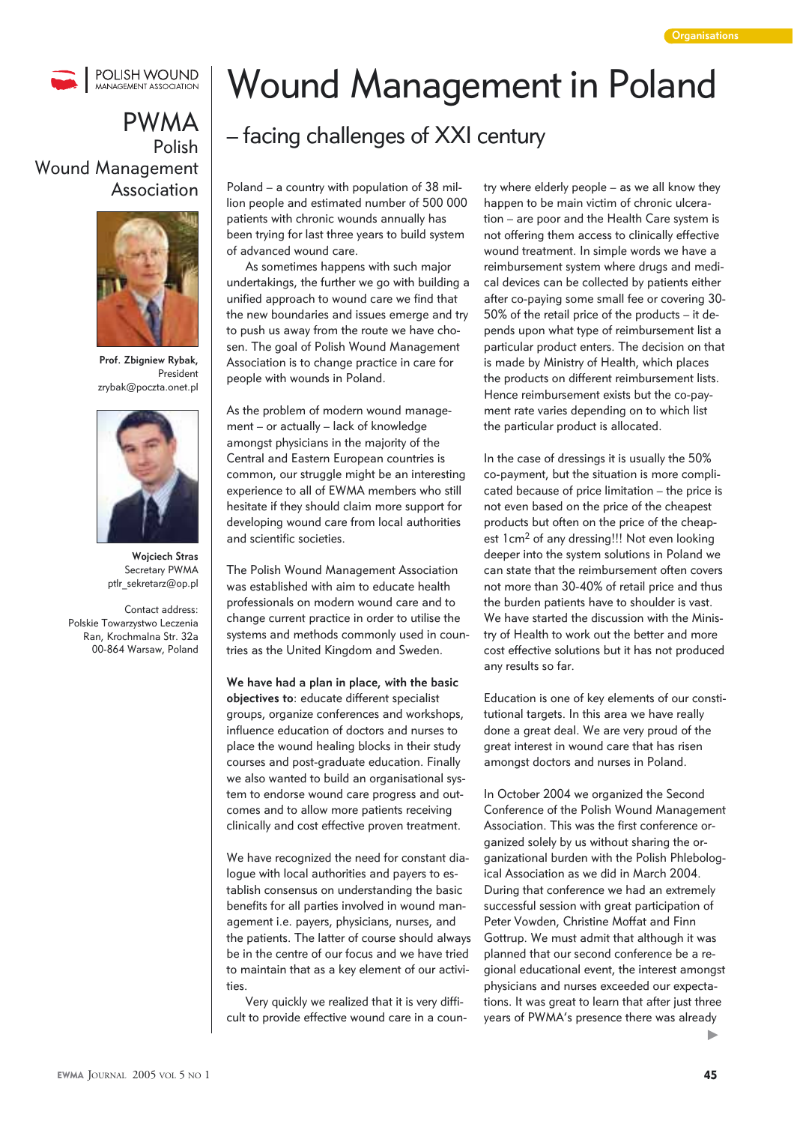

## PWMA Polish Wound Management Association



**Prof. Zbigniew Rybak,**  President zrybak@poczta.onet.pl



**Wojciech Stras** Secretary PWMA ptlr\_sekretarz@op.pl

Contact address: Polskie Towarzystwo Leczenia Ran, Krochmalna Str. 32a 00-864 Warsaw, Poland

## Wound Management in Poland

## – facing challenges of XXI century

Poland – a country with population of 38 million people and estimated number of 500 000 patients with chronic wounds annually has been trying for last three years to build system of advanced wound care.

 As sometimes happens with such major undertakings, the further we go with building a unified approach to wound care we find that the new boundaries and issues emerge and try to push us away from the route we have chosen. The goal of Polish Wound Management Association is to change practice in care for people with wounds in Poland.

As the problem of modern wound management – or actually – lack of knowledge amongst physicians in the majority of the Central and Eastern European countries is common, our struggle might be an interesting experience to all of EWMA members who still hesitate if they should claim more support for developing wound care from local authorities and scientific societies.

The Polish Wound Management Association was established with aim to educate health professionals on modern wound care and to change current practice in order to utilise the systems and methods commonly used in countries as the United Kingdom and Sweden.

**We have had a plan in place, with the basic objectives to**: educate different specialist groups, organize conferences and workshops, influence education of doctors and nurses to place the wound healing blocks in their study courses and post-graduate education. Finally we also wanted to build an organisational system to endorse wound care progress and outcomes and to allow more patients receiving clinically and cost effective proven treatment.

We have recognized the need for constant dialogue with local authorities and payers to establish consensus on understanding the basic benefits for all parties involved in wound management i.e. payers, physicians, nurses, and the patients. The latter of course should always be in the centre of our focus and we have tried to maintain that as a key element of our activities.

Very quickly we realized that it is very difficult to provide effective wound care in a country where elderly people – as we all know they happen to be main victim of chronic ulceration – are poor and the Health Care system is not offering them access to clinically effective wound treatment. In simple words we have a reimbursement system where drugs and medical devices can be collected by patients either after co-paying some small fee or covering 30- 50% of the retail price of the products – it depends upon what type of reimbursement list a particular product enters. The decision on that is made by Ministry of Health, which places the products on different reimbursement lists. Hence reimbursement exists but the co-payment rate varies depending on to which list the particular product is allocated.

In the case of dressings it is usually the 50% co-payment, but the situation is more complicated because of price limitation – the price is not even based on the price of the cheapest products but often on the price of the cheapest 1cm<sup>2</sup> of any dressing!!! Not even looking deeper into the system solutions in Poland we can state that the reimbursement often covers not more than 30-40% of retail price and thus the burden patients have to shoulder is vast. We have started the discussion with the Ministry of Health to work out the better and more cost effective solutions but it has not produced any results so far.

Education is one of key elements of our constitutional targets. In this area we have really done a great deal. We are very proud of the great interest in wound care that has risen amongst doctors and nurses in Poland.

In October 2004 we organized the Second Conference of the Polish Wound Management Association. This was the first conference organized solely by us without sharing the organizational burden with the Polish Phlebological Association as we did in March 2004. During that conference we had an extremely successful session with great participation of Peter Vowden, Christine Moffat and Finn Gottrup. We must admit that although it was planned that our second conference be a regional educational event, the interest amongst physicians and nurses exceeded our expectations. It was great to learn that after just three years of PWMA's presence there was already

ь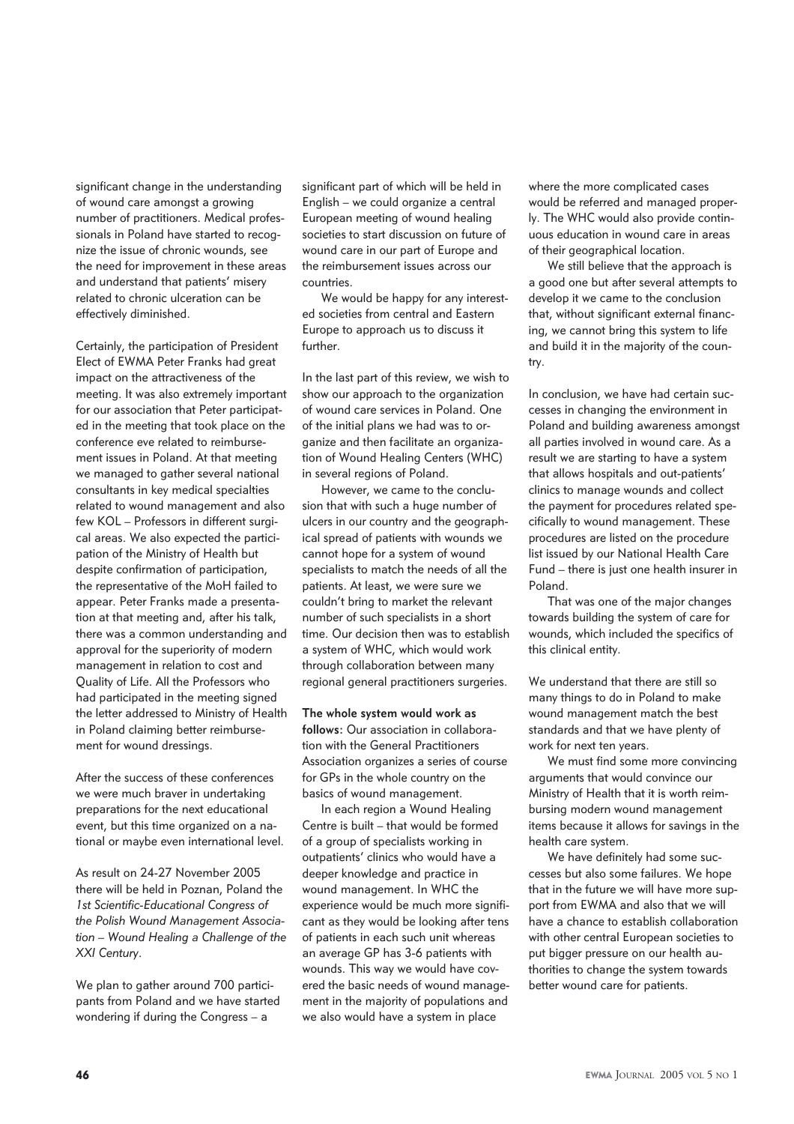significant change in the understanding of wound care amongst a growing number of practitioners. Medical professionals in Poland have started to recognize the issue of chronic wounds, see the need for improvement in these areas and understand that patients' misery related to chronic ulceration can be effectively diminished.

Certainly, the participation of President Elect of EWMA Peter Franks had great impact on the attractiveness of the meeting. It was also extremely important for our association that Peter participated in the meeting that took place on the conference eve related to reimbursement issues in Poland. At that meeting we managed to gather several national consultants in key medical specialties related to wound management and also few KOL – Professors in different surgical areas. We also expected the participation of the Ministry of Health but despite confirmation of participation, the representative of the MoH failed to appear. Peter Franks made a presentation at that meeting and, after his talk, there was a common understanding and approval for the superiority of modern management in relation to cost and Quality of Life. All the Professors who had participated in the meeting signed the letter addressed to Ministry of Health in Poland claiming better reimbursement for wound dressings.

After the success of these conferences we were much braver in undertaking preparations for the next educational event, but this time organized on a national or maybe even international level.

As result on 24-27 November 2005 there will be held in Poznan, Poland the 1st Scientific-Educational Congress of *the Polish Wound Management Association – Wound Healing a Challenge of the XXI Century*.

We plan to gather around 700 participants from Poland and we have started wondering if during the Congress – a

significant part of which will be held in English – we could organize a central European meeting of wound healing societies to start discussion on future of wound care in our part of Europe and the reimbursement issues across our countries.

 We would be happy for any interested societies from central and Eastern Europe to approach us to discuss it further.

In the last part of this review, we wish to show our approach to the organization of wound care services in Poland. One of the initial plans we had was to organize and then facilitate an organization of Wound Healing Centers (WHC) in several regions of Poland.

 However, we came to the conclusion that with such a huge number of ulcers in our country and the geographical spread of patients with wounds we cannot hope for a system of wound specialists to match the needs of all the patients. At least, we were sure we couldn't bring to market the relevant number of such specialists in a short time. Our decision then was to establish a system of WHC, which would work through collaboration between many regional general practitioners surgeries.

**The whole system would work as follows:** Our association in collaboration with the General Practitioners Association organizes a series of course for GPs in the whole country on the basics of wound management.

 In each region a Wound Healing Centre is built – that would be formed of a group of specialists working in outpatients' clinics who would have a deeper knowledge and practice in wound management. In WHC the experience would be much more significant as they would be looking after tens of patients in each such unit whereas an average GP has 3-6 patients with wounds. This way we would have covered the basic needs of wound management in the majority of populations and we also would have a system in place

where the more complicated cases would be referred and managed properly. The WHC would also provide continuous education in wound care in areas of their geographical location.

 We still believe that the approach is a good one but after several attempts to develop it we came to the conclusion that, without significant external financing, we cannot bring this system to life and build it in the majority of the country.

In conclusion, we have had certain successes in changing the environment in Poland and building awareness amongst all parties involved in wound care. As a result we are starting to have a system that allows hospitals and out-patients' clinics to manage wounds and collect the payment for procedures related specifically to wound management. These procedures are listed on the procedure list issued by our National Health Care Fund – there is just one health insurer in Poland.

 That was one of the major changes towards building the system of care for wounds, which included the specifics of this clinical entity.

We understand that there are still so many things to do in Poland to make wound management match the best standards and that we have plenty of work for next ten years.

We must find some more convincing arguments that would convince our Ministry of Health that it is worth reimbursing modern wound management items because it allows for savings in the health care system.

We have definitely had some successes but also some failures. We hope that in the future we will have more support from EWMA and also that we will have a chance to establish collaboration with other central European societies to put bigger pressure on our health authorities to change the system towards better wound care for patients.